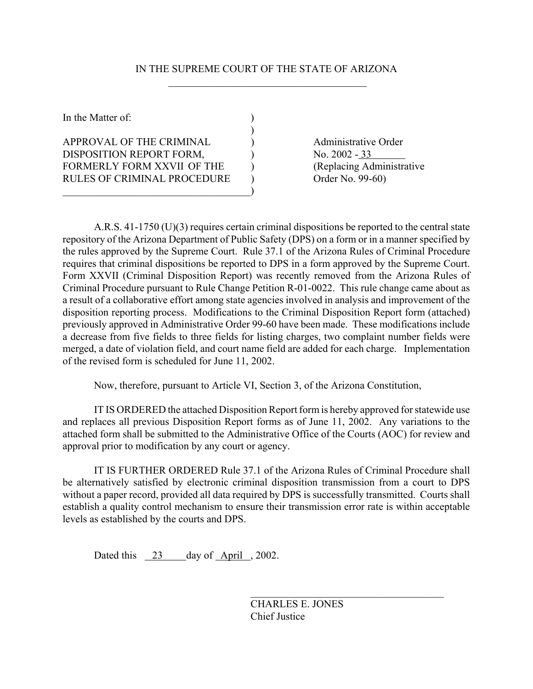## IN THE SUPREME COURT OF THE STATE OF ARIZONA  $\frac{1}{2}$  ,  $\frac{1}{2}$  ,  $\frac{1}{2}$  ,  $\frac{1}{2}$  ,  $\frac{1}{2}$  ,  $\frac{1}{2}$  ,  $\frac{1}{2}$  ,  $\frac{1}{2}$  ,  $\frac{1}{2}$  ,  $\frac{1}{2}$  ,  $\frac{1}{2}$  ,  $\frac{1}{2}$  ,  $\frac{1}{2}$  ,  $\frac{1}{2}$  ,  $\frac{1}{2}$  ,  $\frac{1}{2}$  ,  $\frac{1}{2}$  ,  $\frac{1}{2}$  ,  $\frac{1$

)

In the Matter of:  $\qquad \qquad$  )

APPROVAL OF THE CRIMINAL (a) Administrative Order DISPOSITION REPORT FORM,  $\bigcup$  No. 2002 - 33 FORMERLY FORM XXVII OF THE (Replacing Administrative RULES OF CRIMINAL PROCEDURE (a) Order No. 99-60)

 $\qquad \qquad \qquad \qquad \qquad \qquad \qquad$ 

A.R.S. 41-1750 (U)(3) requires certain criminal dispositions be reported to the central state repository of the Arizona Department of Public Safety (DPS) on a form or in a manner specified by the rules approved by the Supreme Court. Rule 37.1 of the Arizona Rules of Criminal Procedure requires that criminal dispositions be reported to DPS in a form approved by the Supreme Court. Form XXVII (Criminal Disposition Report) was recently removed from the Arizona Rules of Criminal Procedure pursuant to Rule Change Petition R-01-0022. This rule change came about as a result of a collaborative effort among state agencies involved in analysis and improvement of the disposition reporting process. Modifications to the Criminal Disposition Report form (attached) previously approved in Administrative Order 99-60 have been made. These modifications include a decrease from five fields to three fields for listing charges, two complaint number fields were merged, a date of violation field, and court name field are added for each charge. Implementation of the revised form is scheduled for June 11, 2002.

Now, therefore, pursuant to Article VI, Section 3, of the Arizona Constitution,

IT IS ORDERED the attached Disposition Report form is hereby approved for statewide use and replaces all previous Disposition Report forms as of June 11, 2002. Any variations to the attached form shall be submitted to the Administrative Office of the Courts (AOC) for review and approval prior to modification by any court or agency.

IT IS FURTHER ORDERED Rule 37.1 of the Arizona Rules of Criminal Procedure shall be alternatively satisfied by electronic criminal disposition transmission from a court to DPS without a paper record, provided all data required by DPS is successfully transmitted. Courts shall establish a quality control mechanism to ensure their transmission error rate is within acceptable levels as established by the courts and DPS.

Dated this 23 day of April , 2002.

CHARLES E. JONES Chief Justice

 $\mathcal{L}_\text{max}$  , and the set of the set of the set of the set of the set of the set of the set of the set of the set of the set of the set of the set of the set of the set of the set of the set of the set of the set of the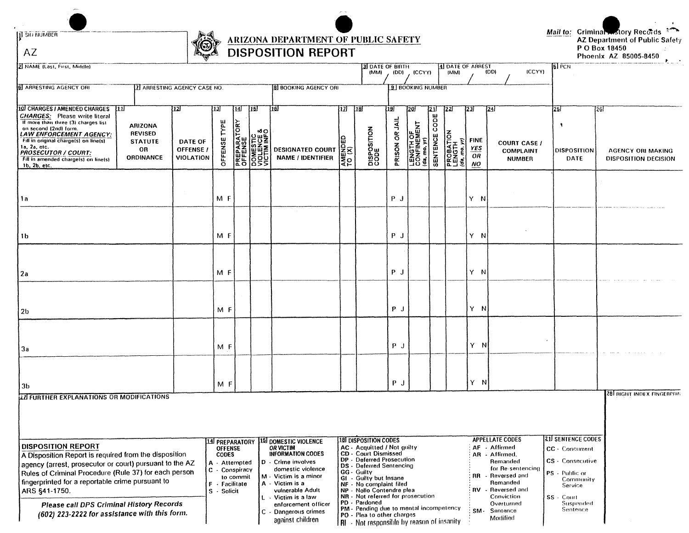**II** SID NUMBER

 $AZ$ 

## ARIZONA DEPARTMENT OF PUBLIC SAFETY<br>DISPOSITION REPORT

# Mail to: Criminal Matory Records<br>AZ Department of Public Safety<br>P O Box 18450<br>Phoenix AZ 85005-8450

| 2 NAME (Last, First, Middle)                                                                                                                                                                                                                                                                                                                                                                            |                                                |                                                                                                    |                 |                                                                                               |                                                                                                                                                                                                                                                                                      |                         | <b>3</b> DATE OF BIRTH<br>(MM)                                                                                                                                                                                                                                                                                                                                                                                                   | (DD)                       | (CCYY)                                         |                                       | 4 DATE OF ARREST<br>(MM)                    |                                      | (CCYY)<br>(DD)                                                                                                                                                                                        | $5F_{CN}$                                                                                                                                         |                                                                 |
|---------------------------------------------------------------------------------------------------------------------------------------------------------------------------------------------------------------------------------------------------------------------------------------------------------------------------------------------------------------------------------------------------------|------------------------------------------------|----------------------------------------------------------------------------------------------------|-----------------|-----------------------------------------------------------------------------------------------|--------------------------------------------------------------------------------------------------------------------------------------------------------------------------------------------------------------------------------------------------------------------------------------|-------------------------|----------------------------------------------------------------------------------------------------------------------------------------------------------------------------------------------------------------------------------------------------------------------------------------------------------------------------------------------------------------------------------------------------------------------------------|----------------------------|------------------------------------------------|---------------------------------------|---------------------------------------------|--------------------------------------|-------------------------------------------------------------------------------------------------------------------------------------------------------------------------------------------------------|---------------------------------------------------------------------------------------------------------------------------------------------------|-----------------------------------------------------------------|
| 6 ARRESTING AGENCY ORI                                                                                                                                                                                                                                                                                                                                                                                  | <b>Z ARRESTING AGENCY CASE NO.</b>             |                                                                                                    |                 |                                                                                               | <b>B BOOKING AGENCY ORI</b>                                                                                                                                                                                                                                                          |                         |                                                                                                                                                                                                                                                                                                                                                                                                                                  |                            | 9 BOOKING NUMBER                               |                                       |                                             |                                      |                                                                                                                                                                                                       |                                                                                                                                                   |                                                                 |
| 10 CHARGES / AMENDED CHARGES<br>-1111<br><b>CHARGES:</b> Please write literal<br>If more than three (3) charges list<br><b>ARIZONA</b><br>on second (2nd) form.<br><b>REVISED</b><br>LAW ENFORCEMENT AGENCY:<br>Fill in original charge(s) on line(s)<br><b>STATUTE</b><br>1a, 2a, etc.<br>OR<br><b>PROSECUTOR / COURT:</b><br><b>ORDINANCE</b><br>Fill in amended charge(s) on line(s)<br>16, 2b, etc. | 12<br>DATE OF<br>OFFENSE /<br><b>VIOLATION</b> | [13]<br>TYPE<br>OFFENSE                                                                            | $\overline{14}$ | $\overline{15}$<br><b>PREPARATORY<br/>OFFENSE<br/>DOMESTIC<br/>VICTIM INFO</b><br>VICTIM INFO | 16<br><b>DESIGNATED COURT</b><br><b>NAME / IDENTIFIER</b>                                                                                                                                                                                                                            | 12<br>∣ິ≩ຂ<br><b>ZO</b> | $\overline{1181}$<br>DISPOSITION<br>CODE                                                                                                                                                                                                                                                                                                                                                                                         | 19<br>ار<br>ج<br>PRISON OR | 20<br>LENGTH OF<br>CONFINEMENT<br>(da, mo, yr) | 211<br>$\overline{c}$ ope<br>SENTENCE | 122I<br>PROBATION<br>LENGTH<br>(da, mo, yr) | 23<br><b>FINE</b><br>YES<br>OR<br>ΝO | 24)<br><b>COURT CASE /</b><br><b>COMPLAINT</b><br><b>NUMBER</b>                                                                                                                                       | 25<br><b>DISPOSITION</b><br>DATE                                                                                                                  | l26)<br><b>AGENCY ORI MAKING</b><br><b>DISPOSITION DECISION</b> |
| 1a                                                                                                                                                                                                                                                                                                                                                                                                      |                                                | M F                                                                                                |                 |                                                                                               |                                                                                                                                                                                                                                                                                      |                         |                                                                                                                                                                                                                                                                                                                                                                                                                                  | $P$ J                      |                                                |                                       |                                             | Y.<br>N                              |                                                                                                                                                                                                       |                                                                                                                                                   |                                                                 |
| 1b                                                                                                                                                                                                                                                                                                                                                                                                      |                                                | M F                                                                                                |                 |                                                                                               |                                                                                                                                                                                                                                                                                      |                         |                                                                                                                                                                                                                                                                                                                                                                                                                                  | $P$ J                      |                                                |                                       |                                             | Y N                                  |                                                                                                                                                                                                       |                                                                                                                                                   |                                                                 |
| 2a                                                                                                                                                                                                                                                                                                                                                                                                      |                                                | M F                                                                                                |                 |                                                                                               |                                                                                                                                                                                                                                                                                      |                         |                                                                                                                                                                                                                                                                                                                                                                                                                                  | $P$ J                      |                                                |                                       |                                             | Y N                                  |                                                                                                                                                                                                       |                                                                                                                                                   |                                                                 |
| <u>2b</u>                                                                                                                                                                                                                                                                                                                                                                                               |                                                | M F                                                                                                |                 |                                                                                               |                                                                                                                                                                                                                                                                                      |                         |                                                                                                                                                                                                                                                                                                                                                                                                                                  | $P$ J                      |                                                |                                       |                                             | Y N                                  |                                                                                                                                                                                                       |                                                                                                                                                   |                                                                 |
| За                                                                                                                                                                                                                                                                                                                                                                                                      |                                                | M F                                                                                                |                 |                                                                                               |                                                                                                                                                                                                                                                                                      |                         |                                                                                                                                                                                                                                                                                                                                                                                                                                  | PJ                         |                                                |                                       |                                             | Y N                                  |                                                                                                                                                                                                       |                                                                                                                                                   |                                                                 |
| Зb<br><b>27 FURTHER EXPLANATIONS OR MODIFICATIONS</b>                                                                                                                                                                                                                                                                                                                                                   |                                                | M F                                                                                                |                 |                                                                                               |                                                                                                                                                                                                                                                                                      |                         |                                                                                                                                                                                                                                                                                                                                                                                                                                  | PJ                         |                                                |                                       |                                             | Y NI                                 |                                                                                                                                                                                                       |                                                                                                                                                   | <b>28 RIGHT INDEX FINGERPRIN</b>                                |
| <b>DISPOSITION REPORT</b><br>A Disposition Report is required from the disposition<br>agency (arrest, prosecutor or court) pursuant to the AZ<br>Rules of Criminal Procedure (Rule 37) for each person<br>fingerprinted for a reportable crime pursuant to<br>ARS §41-1750.<br>Please call DPS Criminal History Records<br>(602) 223-2222 for assistance with this form.                                |                                                | <b>OFFENSE</b><br><b>CODES</b><br>A - Attempted<br>C - Conspiracy<br>F - Facilitate<br>S - Solicit | to commit       | C                                                                                             | 14 PREPARATORY 15 DOMESTIC VIOLENCE<br><b>OR VICTIM</b><br><b>INFORMATION CODES</b><br>D - Crime involves<br>domestic violence<br>M - Victim is a minor<br>A - Victim is a<br>vulnerable Adult<br>L - Victim is a law<br>enforcement officer<br>Dangerous crimes<br>against children |                         | 18 DISPOSITION CODES<br>AC - Acquitted / Not guilty<br><b>CD</b> - Court Dismissed<br>DP - Deferred Prosecution<br>DS - Deferred Sentencing<br>GG - Guilty<br>GI - Guilty but Insane<br>NF - No complaint filed<br>NP - Nollo Contendre plea<br>NR - Not referred for prosecution<br>PD - Pardoned<br>PM - Pending due to mental incompetency<br>PO - Plea to other charges<br><b>RI</b> - Not responsible by reason of insanity |                            |                                                |                                       |                                             | -RR                                  | <b>APPELLATE CODES</b><br>AF - Affirmed<br>AR - Affirmed,<br>Remanded<br>for Re-sentencing<br>- Reversed and<br>Remanded<br>RV - Reversed and<br>Conviction<br>Overturned<br>SM- Sentence<br>Modified | <b>21 SENTENCE CODES</b><br>CC - Concurrent<br>CS - Consecutive<br>PS - Public or<br>Community<br>Service<br>SS - Court<br>Suspended<br>Sentence: |                                                                 |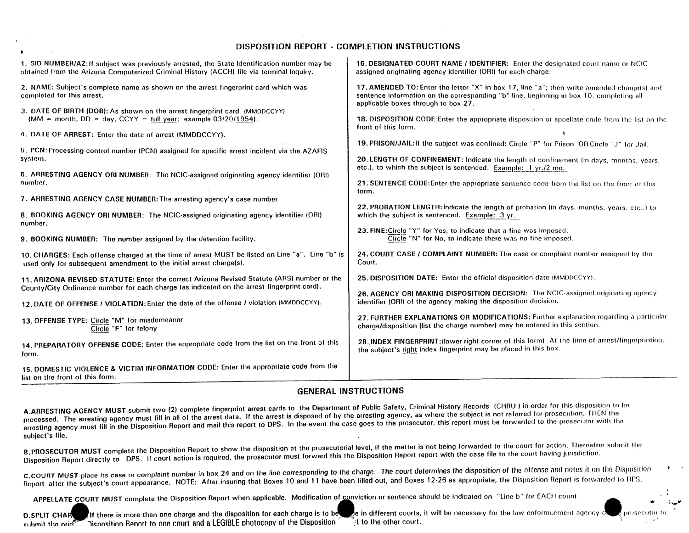### **DISPOSITION REPORT** - **COMPLETION INSTRUCTIONS**

| 1. SID NUMBER/AZ: If subject was previously arrested, the State Identification number may be<br>obtained from the Arizona Computerized Criminal History (ACCH) file via terminal inquiry. | 16. DESIGNATED COURT NAME / IDENTIFIER: Enter the designated court name or NCIC<br>assigned originating agency identifier (ORI) for each charge.                                                                             |  |  |  |  |  |  |
|-------------------------------------------------------------------------------------------------------------------------------------------------------------------------------------------|------------------------------------------------------------------------------------------------------------------------------------------------------------------------------------------------------------------------------|--|--|--|--|--|--|
| 2. NAME: Subject's complete name as shown on the arrest fingerprint card which was<br>completed for this arrest.                                                                          | 17. AMENDED TO: Enter the letter "X" in box 17, line "a"; then write amended chargets) and<br>sentence information on the corresponding "b" line, beginning in box 10, completing all<br>applicable boxes through to box 27. |  |  |  |  |  |  |
| 3. DATE OF BIRTH (DOB): As shown on the arrest fingerprint card (MMDDCCYY)<br>(MM = month, $DD = day$ , CCYY = full year; example 03/20/1954).                                            | <b>18. DISPOSITION CODE:</b> Enter the appropriate disposition or appellate code from the list on the<br>front of this form.                                                                                                 |  |  |  |  |  |  |
| 4. DATE OF ARREST: Enter the date of arrest (MMDDCCYY).                                                                                                                                   |                                                                                                                                                                                                                              |  |  |  |  |  |  |
| 5. PCN: Processing control number (PCN) assigned for specific arrest incident via the AZAFIS<br>system.                                                                                   | 19. PRISON/JAIL: If the subject was confined: Circle "P" for Prison OR Circle "J" for Jail.<br>20. LENGTH OF CONFINEMENT: Indicate the length of confinement (in days, months, years,                                        |  |  |  |  |  |  |
| 6. ARRESTING AGENCY ORI NUMBER: The NCIC-assigned originating agency identifier (ORI)                                                                                                     | etc.), to which the subject is sentenced. Example: 1 yr./2 mo.                                                                                                                                                               |  |  |  |  |  |  |
| number.                                                                                                                                                                                   | 21. SENTENCE CODE: Enter the appropriate sentence code from the list on the front of this<br>form.                                                                                                                           |  |  |  |  |  |  |
| 7. ARRESTING AGENCY CASE NUMBER: The arresting agency's case number.                                                                                                                      |                                                                                                                                                                                                                              |  |  |  |  |  |  |
| 8. BOOKING AGENCY ORI NUMBER: The NCIC-assigned originating agency identifier (ORI)<br>number.                                                                                            | 22. PROBATION LENGTH: Indicate the length of probation (in days, months, years, etc.,) to<br>which the subject is sentenced. Example: 3 yr.                                                                                  |  |  |  |  |  |  |
| 9. BOOKING NUMBER: The number assigned by the detention facility.                                                                                                                         | 23. FINE: Circle "Y" for Yes, to indicate that a fine was imposed.<br>Circle "N" for No, to indicate there was no fine imposed.                                                                                              |  |  |  |  |  |  |
| 10. CHARGES: Each offense charged at the time of arrest MUST be listed on Line "a". Line "b" is<br>used only for subsequent amendment to the initial arrest charge(s).                    | 24. COURT CASE / COMPLAINT NUMBER: The case or complaint number assigned by the<br>Court.                                                                                                                                    |  |  |  |  |  |  |
| 11. ARIZONA REVISED STATUTE: Enter the correct Arizona Revised Statute (ARS) number or the<br>County/City Ordinance number for each charge (as indicated on the arrest fingerprint card). | 25. DISPOSITION DATE: Enter the official disposition date (MMDDCCYY).                                                                                                                                                        |  |  |  |  |  |  |
| 12. DATE OF OFFENSE / VIOLATION: Enter the date of the offense / violation (MMDDCCYY).                                                                                                    | 26. AGENCY ORI MAKING DISPOSITION DECISION: The NCIC-assigned originating agency<br>identifier (ORI) of the agency making the disposition decision.                                                                          |  |  |  |  |  |  |
|                                                                                                                                                                                           |                                                                                                                                                                                                                              |  |  |  |  |  |  |
| 13. OFFENSE TYPE: Circle "M" for misdemeanor<br>Circle "F" for felony                                                                                                                     | 27. FURTHER EXPLANATIONS OR MODIFICATIONS: Further explanation regarding a particular<br>charge/disposition (list the charge number) may be entered in this section.                                                         |  |  |  |  |  |  |
| 14. FREPARATORY OFFENSE CODE: Enter the appropriate code from the list on the front of this<br>form.                                                                                      | 28. INDEX FINGERPRINT: (lower right corner of this form) At the time of arrest/fingerprinting,<br>the subject's right index fingerprint may be placed in this box.                                                           |  |  |  |  |  |  |
| 15. DOMESTIC VIOLENCE & VICTIM INFORMATION CODE: Enter the appropriate code from the<br>list on the front of this form.                                                                   |                                                                                                                                                                                                                              |  |  |  |  |  |  |

## **GENERAL INSTRUCTIONS**

A.ARRESTING AGENCY MUST submit two (2) complete fingerprint arrest cards to the Department of Public Safety, Criminal History Records (CHRU) in order for this disposition to be processed. The arresting agency must fill in all of the arrest data. If the arrest is disposed of by the arresting agency, as where the subject is not referred for prosecution. THEN the arresting agency must fill in the Disposition Report and mail this report to DPS. In the event the case goes to the prosecutor, this report must be forwarded to the prosecutor with the subject's file. And the contract of the contract of the contract of the contract of the contract of the contract of the contract of the contract of the contract of the contract of the contract of the contract of the contra

B.PROSECUTOR MUST complete the Disposition Report to show the disposition at the prosecutorial level, if we can be not with the case file to the court having jurisdiction. Disposition Report directly to DPS. If court action is required, the prosecutor must forward this the Disposition Report report with the case file to the court having jurisdiction.

C.COURT MUST place its case or complaint number in box 24 and on the line corresponding to the charge. The court determines the disposition of the offense and notes it on the Disposition Report after the subject's court appearance. NOTE: After insuring that Boxes 10 and 11 have been filled out, and Boxes 12-26 as appropriate, the Disposition Report is forwarded to DPS.

\*

APPELLATE COURT MUST complete the Disposition Report when applicable. Modification of conviction or sentence should be indicated on "Line b" for EACH count.

D.SPLIT CHAR If there is more than one charge and the disposition for each charge is to be the different courts, it will be necessary for the law enformcement agency of the prosecutor to the other courts in different court eutimit the orid<sup>prove</sup> "nisnosition Renort to one court and a LEGIBLE photocopy of the Disposition